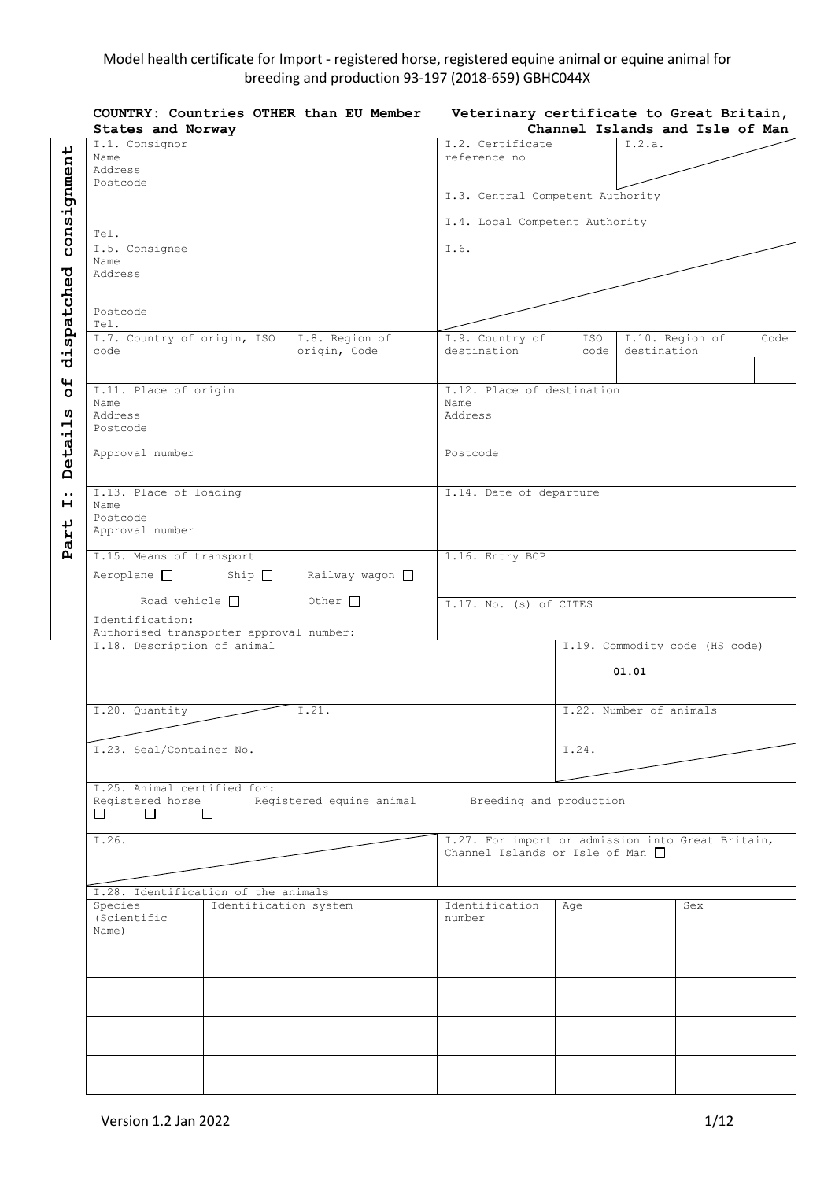# Model health certificate for Import - registered horse, registered equine animal or equine animal for breeding and production 93-197 (2018-659) GBHC044X

|                                                             | COUNTRY: Countries OTHER than EU Member<br>States and Norway                                      | Veterinary certificate to Great Britain,<br>Channel Islands and Isle of Man                   |                                               |             |                                  |                                |      |
|-------------------------------------------------------------|---------------------------------------------------------------------------------------------------|-----------------------------------------------------------------------------------------------|-----------------------------------------------|-------------|----------------------------------|--------------------------------|------|
| consignment                                                 | I.1. Consignor<br>Name<br>Address                                                                 | I.2. Certificate<br>reference no                                                              |                                               | I.2.a.      |                                  |                                |      |
|                                                             | Postcode                                                                                          |                                                                                               |                                               |             | I.3. Central Competent Authority |                                |      |
|                                                             | Tel.                                                                                              |                                                                                               | I.4. Local Competent Authority                |             |                                  |                                |      |
|                                                             | I.5. Consignee                                                                                    |                                                                                               | I.6.                                          |             |                                  |                                |      |
|                                                             | Name<br>Address                                                                                   |                                                                                               |                                               |             |                                  |                                |      |
| dispatched                                                  | Postcode<br>Tel.                                                                                  |                                                                                               |                                               |             |                                  |                                |      |
|                                                             | I.7. Country of origin, ISO<br>code                                                               | I.8. Region of<br>origin, Code                                                                | I.9. Country of<br>destination                | ISO<br>code | I.10. Region of<br>destination   |                                | Code |
| $\mathbf{H}$<br>$\circ$<br>ທ<br>$\mathbf{\mathbf{r}}$<br>٠H | I.11. Place of origin<br>Name<br>Address<br>Postcode                                              |                                                                                               | I.12. Place of destination<br>Name<br>Address |             |                                  |                                |      |
| <b>Deta</b>                                                 | Approval number                                                                                   |                                                                                               | Postcode                                      |             |                                  |                                |      |
| $\ddot{\phantom{0}}\phantom{0}\bullet$<br>н<br>ب<br>Par     | I.13. Place of loading<br>Name<br>Postcode<br>Approval number                                     |                                                                                               | I.14. Date of departure                       |             |                                  |                                |      |
|                                                             | I.15. Means of transport<br>Aeroplane □ Ship □ Railway wagon □                                    |                                                                                               | 1.16. Entry BCP                               |             |                                  |                                |      |
|                                                             | Other $\Box$<br>Road vehicle $\Box$<br>Identification:<br>Authorised transporter approval number: |                                                                                               | I.17. No. (s) of CITES                        |             |                                  |                                |      |
|                                                             | I.18. Description of animal                                                                       |                                                                                               |                                               |             | 01.01                            | I.19. Commodity code (HS code) |      |
|                                                             | I.20. Quantity                                                                                    | I.21.                                                                                         |                                               |             | I.22. Number of animals          |                                |      |
|                                                             | I.23. Seal/Container No.                                                                          |                                                                                               |                                               | I.24.       |                                  |                                |      |
|                                                             | I.25. Animal certified for:<br>Registered horse<br>п п<br>$\Box$                                  | Registered equine animal                                                                      | Breeding and production                       |             |                                  |                                |      |
|                                                             | I.26.                                                                                             | I.27. For import or admission into Great Britain,<br>Channel Islands or Isle of Man $\square$ |                                               |             |                                  |                                |      |
|                                                             | Species                                                                                           | I.28. Identification of the animals<br>Identification system                                  |                                               |             |                                  | Sex                            |      |
|                                                             | (Scientific<br>Name)                                                                              |                                                                                               | Identification<br>number                      | Age         |                                  |                                |      |
|                                                             |                                                                                                   |                                                                                               |                                               |             |                                  |                                |      |
|                                                             |                                                                                                   |                                                                                               |                                               |             |                                  |                                |      |
|                                                             |                                                                                                   |                                                                                               |                                               |             |                                  |                                |      |
|                                                             |                                                                                                   |                                                                                               |                                               |             |                                  |                                |      |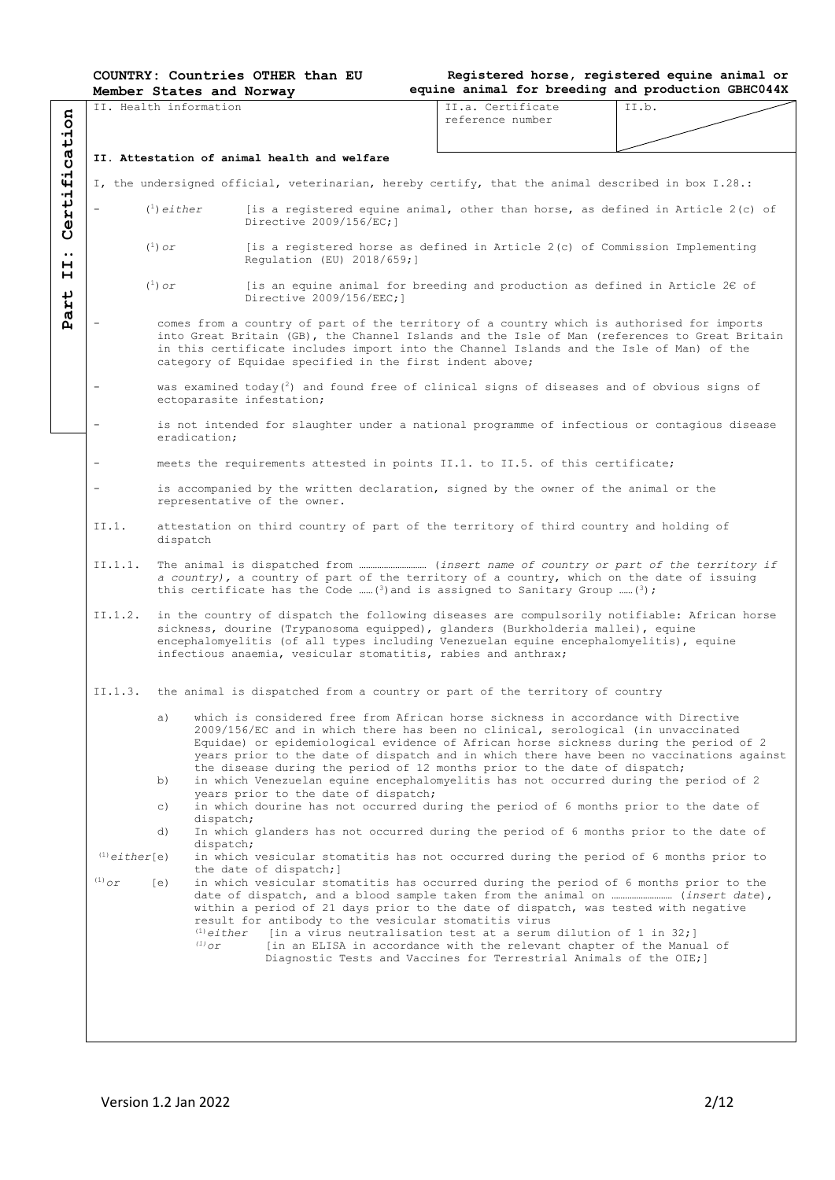|  | <b>COUNTRY: Countries OTHER than EU</b> |  |  |  |  |
|--|-----------------------------------------|--|--|--|--|
|--|-----------------------------------------|--|--|--|--|

|                             |                                              | Member States and Norway                                                                                            |                                                                                                                                                                                                                                                                                                                                                                                                                                          | equine animal for breeding and production GBHC044X                                                                                                                                                                  |       |  |  |  |  |  |  |
|-----------------------------|----------------------------------------------|---------------------------------------------------------------------------------------------------------------------|------------------------------------------------------------------------------------------------------------------------------------------------------------------------------------------------------------------------------------------------------------------------------------------------------------------------------------------------------------------------------------------------------------------------------------------|---------------------------------------------------------------------------------------------------------------------------------------------------------------------------------------------------------------------|-------|--|--|--|--|--|--|
| cation                      |                                              | IT. Health information                                                                                              |                                                                                                                                                                                                                                                                                                                                                                                                                                          | II.a. Certificate<br>reference number                                                                                                                                                                               | II.b. |  |  |  |  |  |  |
|                             |                                              |                                                                                                                     |                                                                                                                                                                                                                                                                                                                                                                                                                                          |                                                                                                                                                                                                                     |       |  |  |  |  |  |  |
| ٠H                          | II. Attestation of animal health and welfare |                                                                                                                     |                                                                                                                                                                                                                                                                                                                                                                                                                                          |                                                                                                                                                                                                                     |       |  |  |  |  |  |  |
| 4                           |                                              |                                                                                                                     | I, the undersigned official, veterinarian, hereby certify, that the animal described in box I.28.:                                                                                                                                                                                                                                                                                                                                       |                                                                                                                                                                                                                     |       |  |  |  |  |  |  |
| rti.<br>$\ddot{\mathbf{e}}$ |                                              | $(1)$ either                                                                                                        | [is a registered equine animal, other than horse, as defined in Article $2(c)$ of<br>Directive 2009/156/EC:1                                                                                                                                                                                                                                                                                                                             |                                                                                                                                                                                                                     |       |  |  |  |  |  |  |
| $\bullet$ $\bullet$<br>н    |                                              | $(^1)$ or                                                                                                           | [is a registered horse as defined in Article $2(c)$ of Commission Implementing<br>Regulation (EU) 2018/659;]                                                                                                                                                                                                                                                                                                                             |                                                                                                                                                                                                                     |       |  |  |  |  |  |  |
| н<br>art                    |                                              | $(^1)$ or                                                                                                           | Directive 2009/156/EEC; 1                                                                                                                                                                                                                                                                                                                                                                                                                | [is an equine animal for breeding and production as defined in Article 2 $\varepsilon$ of                                                                                                                           |       |  |  |  |  |  |  |
| Ñ                           |                                              |                                                                                                                     | comes from a country of part of the territory of a country which is authorised for imports<br>into Great Britain (GB), the Channel Islands and the Isle of Man (references to Great Britain<br>in this certificate includes import into the Channel Islands and the Isle of Man) of the<br>category of Equidae specified in the first indent above;                                                                                      |                                                                                                                                                                                                                     |       |  |  |  |  |  |  |
|                             | $\overline{\phantom{m}}$                     |                                                                                                                     | was examined today( $^2$ ) and found free of clinical signs of diseases and of obvious signs of<br>ectoparasite infestation;                                                                                                                                                                                                                                                                                                             |                                                                                                                                                                                                                     |       |  |  |  |  |  |  |
|                             |                                              | eradication;                                                                                                        | is not intended for slaughter under a national programme of infectious or contagious disease                                                                                                                                                                                                                                                                                                                                             |                                                                                                                                                                                                                     |       |  |  |  |  |  |  |
|                             | $\overline{\phantom{a}}$                     |                                                                                                                     | meets the requirements attested in points II.1. to II.5. of this certificate;                                                                                                                                                                                                                                                                                                                                                            |                                                                                                                                                                                                                     |       |  |  |  |  |  |  |
|                             | $\overline{\phantom{a}}$                     | is accompanied by the written declaration, signed by the owner of the animal or the<br>representative of the owner. |                                                                                                                                                                                                                                                                                                                                                                                                                                          |                                                                                                                                                                                                                     |       |  |  |  |  |  |  |
|                             | II.1.                                        | attestation on third country of part of the territory of third country and holding of                               |                                                                                                                                                                                                                                                                                                                                                                                                                                          |                                                                                                                                                                                                                     |       |  |  |  |  |  |  |
|                             | II.1.1.                                      |                                                                                                                     | a country), a country of part of the territory of a country, which on the date of issuing<br>this certificate has the Code  (3) and is assigned to Sanitary Group  (3);                                                                                                                                                                                                                                                                  |                                                                                                                                                                                                                     |       |  |  |  |  |  |  |
|                             | II.1.2.                                      |                                                                                                                     | in the country of dispatch the following diseases are compulsorily notifiable: African horse<br>sickness, dourine (Trypanosoma equipped), glanders (Burkholderia mallei), equine<br>encephalomyelitis (of all types including Venezuelan equine encephalomyelitis), equine<br>infectious anaemia, vesicular stomatitis, rabies and anthrax;                                                                                              |                                                                                                                                                                                                                     |       |  |  |  |  |  |  |
|                             | II.1.3.                                      |                                                                                                                     | the animal is dispatched from a country or part of the territory of country                                                                                                                                                                                                                                                                                                                                                              |                                                                                                                                                                                                                     |       |  |  |  |  |  |  |
|                             |                                              | a)                                                                                                                  | which is considered free from African horse sickness in accordance with Directive<br>2009/156/EC and in which there has been no clinical, serological (in unvaccinated<br>Equidae) or epidemiological evidence of African horse sickness during the period of 2<br>years prior to the date of dispatch and in which there have been no vaccinations against<br>the disease during the period of 12 months prior to the date of dispatch; |                                                                                                                                                                                                                     |       |  |  |  |  |  |  |
|                             |                                              | b)                                                                                                                  | in which Venezuelan equine encephalomyelitis has not occurred during the period of 2<br>years prior to the date of dispatch;                                                                                                                                                                                                                                                                                                             |                                                                                                                                                                                                                     |       |  |  |  |  |  |  |
|                             |                                              | $\circ$ )<br>dispatch;                                                                                              | in which dourine has not occurred during the period of 6 months prior to the date of                                                                                                                                                                                                                                                                                                                                                     |                                                                                                                                                                                                                     |       |  |  |  |  |  |  |
|                             |                                              | d)                                                                                                                  | In which glanders has not occurred during the period of 6 months prior to the date of                                                                                                                                                                                                                                                                                                                                                    |                                                                                                                                                                                                                     |       |  |  |  |  |  |  |
|                             | $(1)$ either[e)                              | dispatch;                                                                                                           | in which vesicular stomatitis has not occurred during the period of 6 months prior to                                                                                                                                                                                                                                                                                                                                                    |                                                                                                                                                                                                                     |       |  |  |  |  |  |  |
|                             | $^{(1)}$ or                                  | (e)                                                                                                                 | the date of dispatch; ]<br>in which vesicular stomatitis has occurred during the period of 6 months prior to the<br>date of dispatch, and a blood sample taken from the animal on  (insert date),<br>within a period of 21 days prior to the date of dispatch, was tested with negative<br>result for antibody to the vesicular stomatitis virus                                                                                         |                                                                                                                                                                                                                     |       |  |  |  |  |  |  |
|                             |                                              | $^{(1)}$ either<br>$^{(1)}$ or                                                                                      |                                                                                                                                                                                                                                                                                                                                                                                                                                          | [in a virus neutralisation test at a serum dilution of 1 in $32;$ ]<br>[in an ELISA in accordance with the relevant chapter of the Manual of<br>Diagnostic Tests and Vaccines for Terrestrial Animals of the OIE; ] |       |  |  |  |  |  |  |
|                             |                                              |                                                                                                                     |                                                                                                                                                                                                                                                                                                                                                                                                                                          |                                                                                                                                                                                                                     |       |  |  |  |  |  |  |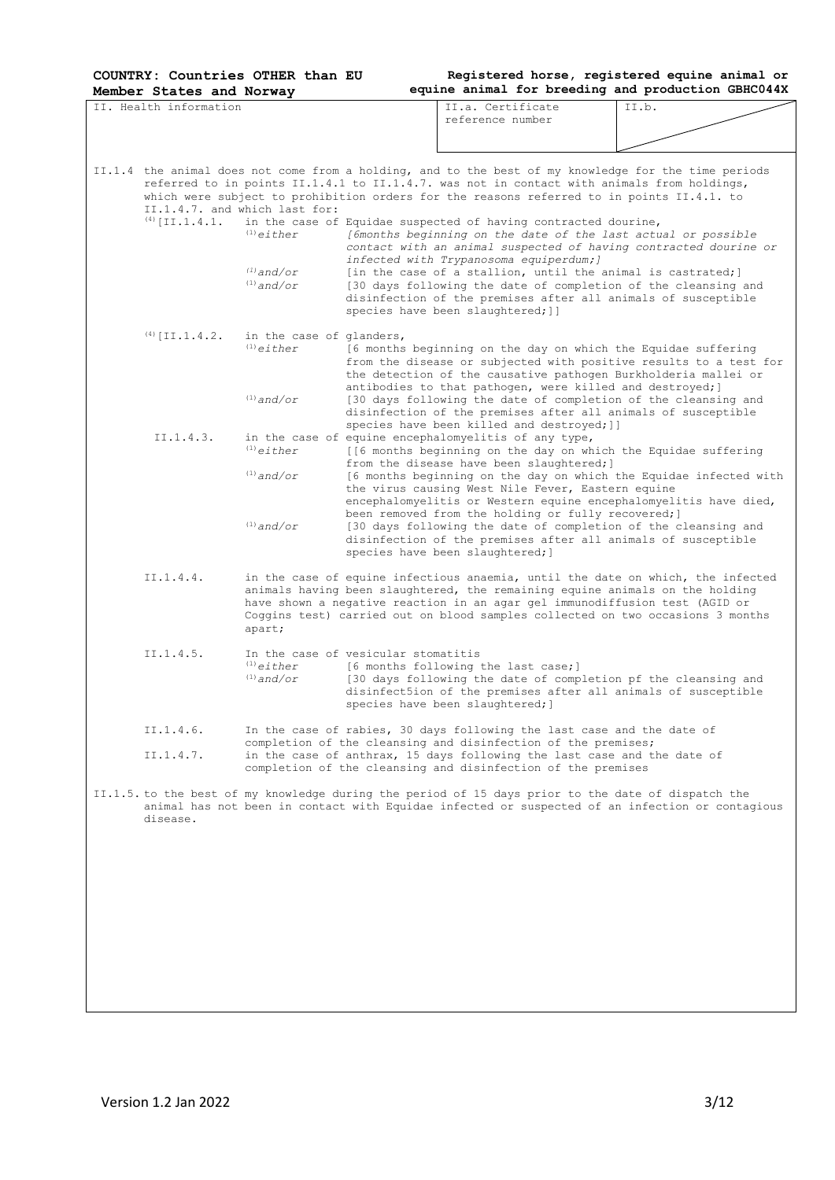II. Health information

**Registered horse, registered equine animal or equine animal for breeding and production GBHC044X**

II.a. Certificate<br>reference number



|  |                  | II.1.4.7. and which last for:                                          | II.1.4 the animal does not come from a holding, and to the best of my knowledge for the time periods<br>referred to in points II.1.4.1 to II.1.4.7. was not in contact with animals from holdings,<br>which were subject to prohibition orders for the reasons referred to in points II.4.1. to |                                                                                                 |  |  |  |
|--|------------------|------------------------------------------------------------------------|-------------------------------------------------------------------------------------------------------------------------------------------------------------------------------------------------------------------------------------------------------------------------------------------------|-------------------------------------------------------------------------------------------------|--|--|--|
|  | $(4)$ [II.1.4.1. | $^{(1)}$ either                                                        | in the case of Equidae suspected of having contracted dourine,<br>[6months beginning on the date of the last actual or possible<br>infected with Trypanosoma equiperdum; ]                                                                                                                      | contact with an animal suspected of having contracted dourine or                                |  |  |  |
|  |                  | $(1)$ and/or<br>$(1)$ and/or                                           | [in the case of a stallion, until the animal is castrated;]<br>[30 days following the date of completion of the cleansing and<br>disinfection of the premises after all animals of susceptible<br>species have been slaughtered; ]]                                                             |                                                                                                 |  |  |  |
|  | $(4)$ [II.1.4.2. | in the case of glanders,<br>$(1)$ either                               | [6 months beginning on the day on which the Equidae suffering<br>the detection of the causative pathogen Burkholderia mallei or                                                                                                                                                                 | from the disease or subjected with positive results to a test for                               |  |  |  |
|  |                  | $(1)$ and/or                                                           | antibodies to that pathogen, were killed and destroyed; ]<br>[30 days following the date of completion of the cleansing and<br>disinfection of the premises after all animals of susceptible                                                                                                    |                                                                                                 |  |  |  |
|  | II.1.4.3.        | $(1)$ either                                                           | species have been killed and destroyed; ]]<br>in the case of equine encephalomyelitis of any type,<br>[[6 months beginning on the day on which the Equidae suffering<br>from the disease have been slaughtered; ]                                                                               |                                                                                                 |  |  |  |
|  |                  | $(1)$ and/or                                                           | the virus causing West Nile Fever, Eastern equine<br>encephalomyelitis or Western equine encephalomyelitis have died,<br>been removed from the holding or fully recovered; ]                                                                                                                    | [6 months beginning on the day on which the Equidae infected with                               |  |  |  |
|  |                  | $^{(1)}$ and/or                                                        | [30 days following the date of completion of the cleansing and<br>disinfection of the premises after all animals of susceptible<br>species have been slaughtered; ]                                                                                                                             |                                                                                                 |  |  |  |
|  | II.1.4.4.        | apart;                                                                 | animals having been slaughtered, the remaining equine animals on the holding<br>have shown a negative reaction in an agar gel immunodiffusion test (AGID or<br>Coggins test) carried out on blood samples collected on two occasions 3 months                                                   | in the case of equine infectious anaemia, until the date on which, the infected                 |  |  |  |
|  | II.1.4.5.        | In the case of vesicular stomatitis<br>$^{(1)}$ either<br>$(1)$ and/or | [6 months following the last case;]<br>[30 days following the date of completion pf the cleansing and<br>disinfect5ion of the premises after all animals of susceptible<br>species have been slaughtered; ]                                                                                     |                                                                                                 |  |  |  |
|  | II.1.4.6.        |                                                                        | In the case of rabies, 30 days following the last case and the date of<br>completion of the cleansing and disinfection of the premises;                                                                                                                                                         |                                                                                                 |  |  |  |
|  | II.1.4.7.        |                                                                        | in the case of anthrax, 15 days following the last case and the date of<br>completion of the cleansing and disinfection of the premises                                                                                                                                                         |                                                                                                 |  |  |  |
|  | disease.         |                                                                        | II.1.5. to the best of my knowledge during the period of 15 days prior to the date of dispatch the                                                                                                                                                                                              | animal has not been in contact with Equidae infected or suspected of an infection or contagious |  |  |  |
|  |                  |                                                                        |                                                                                                                                                                                                                                                                                                 |                                                                                                 |  |  |  |
|  |                  |                                                                        |                                                                                                                                                                                                                                                                                                 |                                                                                                 |  |  |  |
|  |                  |                                                                        |                                                                                                                                                                                                                                                                                                 |                                                                                                 |  |  |  |
|  |                  |                                                                        |                                                                                                                                                                                                                                                                                                 |                                                                                                 |  |  |  |
|  |                  |                                                                        |                                                                                                                                                                                                                                                                                                 |                                                                                                 |  |  |  |
|  |                  |                                                                        |                                                                                                                                                                                                                                                                                                 |                                                                                                 |  |  |  |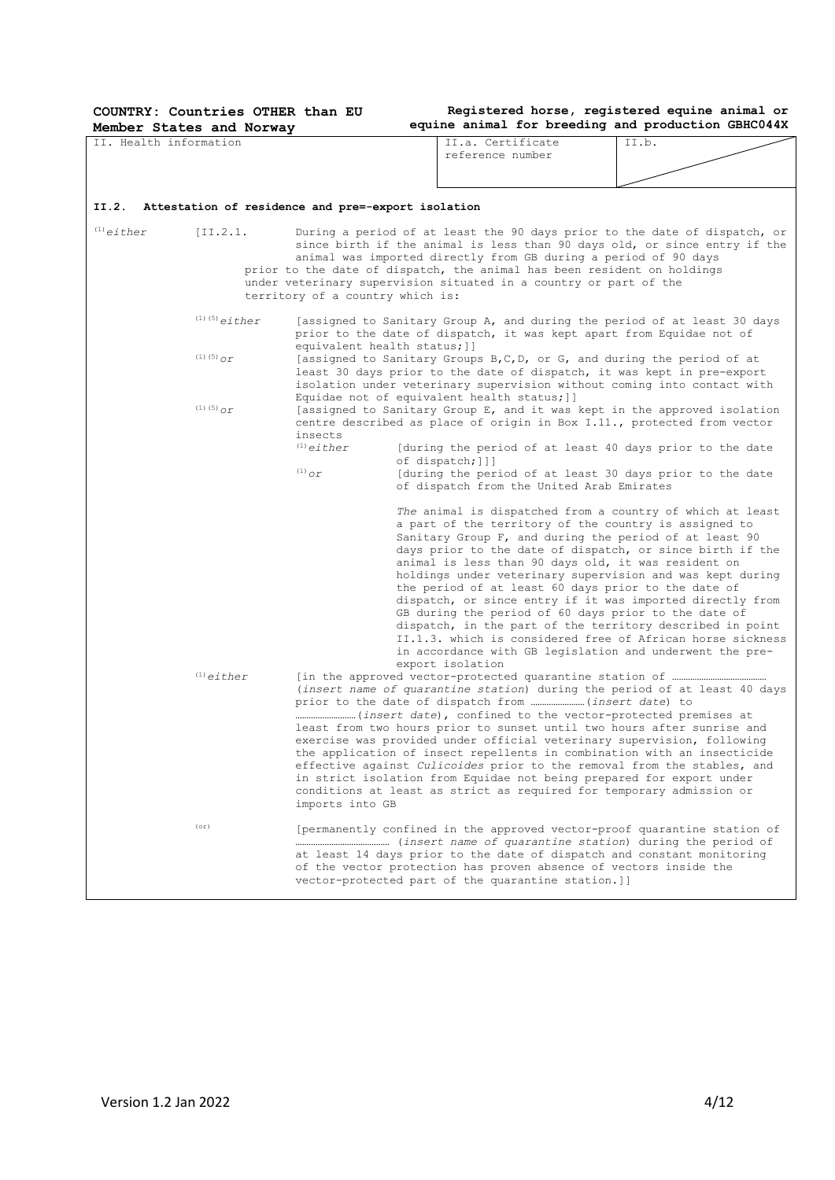|                                                         |                          |                                                                                                                                                                                                                                                                                          | II.a. Certificate                                                                                                                                                                                                                                                                                                                                                                                                                                                                                                                                                                                                                                                                                                                                    | II.b. |  |
|---------------------------------------------------------|--------------------------|------------------------------------------------------------------------------------------------------------------------------------------------------------------------------------------------------------------------------------------------------------------------------------------|------------------------------------------------------------------------------------------------------------------------------------------------------------------------------------------------------------------------------------------------------------------------------------------------------------------------------------------------------------------------------------------------------------------------------------------------------------------------------------------------------------------------------------------------------------------------------------------------------------------------------------------------------------------------------------------------------------------------------------------------------|-------|--|
| II. Health information                                  |                          | reference number                                                                                                                                                                                                                                                                         |                                                                                                                                                                                                                                                                                                                                                                                                                                                                                                                                                                                                                                                                                                                                                      |       |  |
|                                                         |                          |                                                                                                                                                                                                                                                                                          |                                                                                                                                                                                                                                                                                                                                                                                                                                                                                                                                                                                                                                                                                                                                                      |       |  |
|                                                         |                          |                                                                                                                                                                                                                                                                                          |                                                                                                                                                                                                                                                                                                                                                                                                                                                                                                                                                                                                                                                                                                                                                      |       |  |
|                                                         |                          |                                                                                                                                                                                                                                                                                          |                                                                                                                                                                                                                                                                                                                                                                                                                                                                                                                                                                                                                                                                                                                                                      |       |  |
| II.2.                                                   |                          | Attestation of residence and pre=-export isolation                                                                                                                                                                                                                                       |                                                                                                                                                                                                                                                                                                                                                                                                                                                                                                                                                                                                                                                                                                                                                      |       |  |
| $(1)$ either                                            | $[II.2.1.]$              | territory of a country which is:                                                                                                                                                                                                                                                         | During a period of at least the 90 days prior to the date of dispatch, or<br>since birth if the animal is less than 90 days old, or since entry if the<br>animal was imported directly from GB during a period of 90 days<br>prior to the date of dispatch, the animal has been resident on holdings<br>under veterinary supervision situated in a country or part of the                                                                                                                                                                                                                                                                                                                                                                            |       |  |
|                                                         | $(1)$ $(5)$ either       |                                                                                                                                                                                                                                                                                          | [assigned to Sanitary Group A, and during the period of at least 30 days<br>prior to the date of dispatch, it was kept apart from Equidae not of                                                                                                                                                                                                                                                                                                                                                                                                                                                                                                                                                                                                     |       |  |
| equivalent health status; ] ]<br>$(1)$ (5) $_{\rm O}$ r |                          |                                                                                                                                                                                                                                                                                          | [assigned to Sanitary Groups B, C, D, or G, and during the period of at<br>least 30 days prior to the date of dispatch, it was kept in pre-export                                                                                                                                                                                                                                                                                                                                                                                                                                                                                                                                                                                                    |       |  |
|                                                         | $(1)$ (5) $_{\text{OY}}$ | isolation under veterinary supervision without coming into contact with<br>Equidae not of equivalent health status; ]]<br>[assigned to Sanitary Group E, and it was kept in the approved isolation<br>centre described as place of origin in Box I.11., protected from vector<br>insects |                                                                                                                                                                                                                                                                                                                                                                                                                                                                                                                                                                                                                                                                                                                                                      |       |  |
|                                                         |                          | $(1)$ either<br>[during the period of at least 40 days prior to the date<br>of dispatch; []]<br>$^{(1)}$ or<br>[during the period of at least 30 days prior to the date<br>of dispatch from the United Arab Emirates                                                                     |                                                                                                                                                                                                                                                                                                                                                                                                                                                                                                                                                                                                                                                                                                                                                      |       |  |
|                                                         |                          |                                                                                                                                                                                                                                                                                          | The animal is dispatched from a country of which at least<br>a part of the territory of the country is assigned to<br>Sanitary Group F, and during the period of at least 90<br>days prior to the date of dispatch, or since birth if the<br>animal is less than 90 days old, it was resident on<br>holdings under veterinary supervision and was kept during<br>the period of at least 60 days prior to the date of<br>dispatch, or since entry if it was imported directly from<br>GB during the period of 60 days prior to the date of<br>dispatch, in the part of the territory described in point<br>II.1.3. which is considered free of African horse sickness<br>in accordance with GB legislation and underwent the pre-<br>export isolation |       |  |
|                                                         | $(1)$ either             | imports into GB                                                                                                                                                                                                                                                                          | (insert name of quarantine station) during the period of at least 40 days<br>least from two hours prior to sunset until two hours after sunrise and<br>exercise was provided under official veterinary supervision, following<br>the application of insect repellents in combination with an insecticide<br>effective against Culicoides prior to the removal from the stables, and<br>in strict isolation from Equidae not being prepared for export under<br>conditions at least as strict as required for temporary admission or                                                                                                                                                                                                                  |       |  |
|                                                         | (0r)                     |                                                                                                                                                                                                                                                                                          | [permanently confined in the approved vector-proof quarantine station of<br>at least 14 days prior to the date of dispatch and constant monitoring<br>of the vector protection has proven absence of vectors inside the<br>vector-protected part of the quarantine station.]]                                                                                                                                                                                                                                                                                                                                                                                                                                                                        |       |  |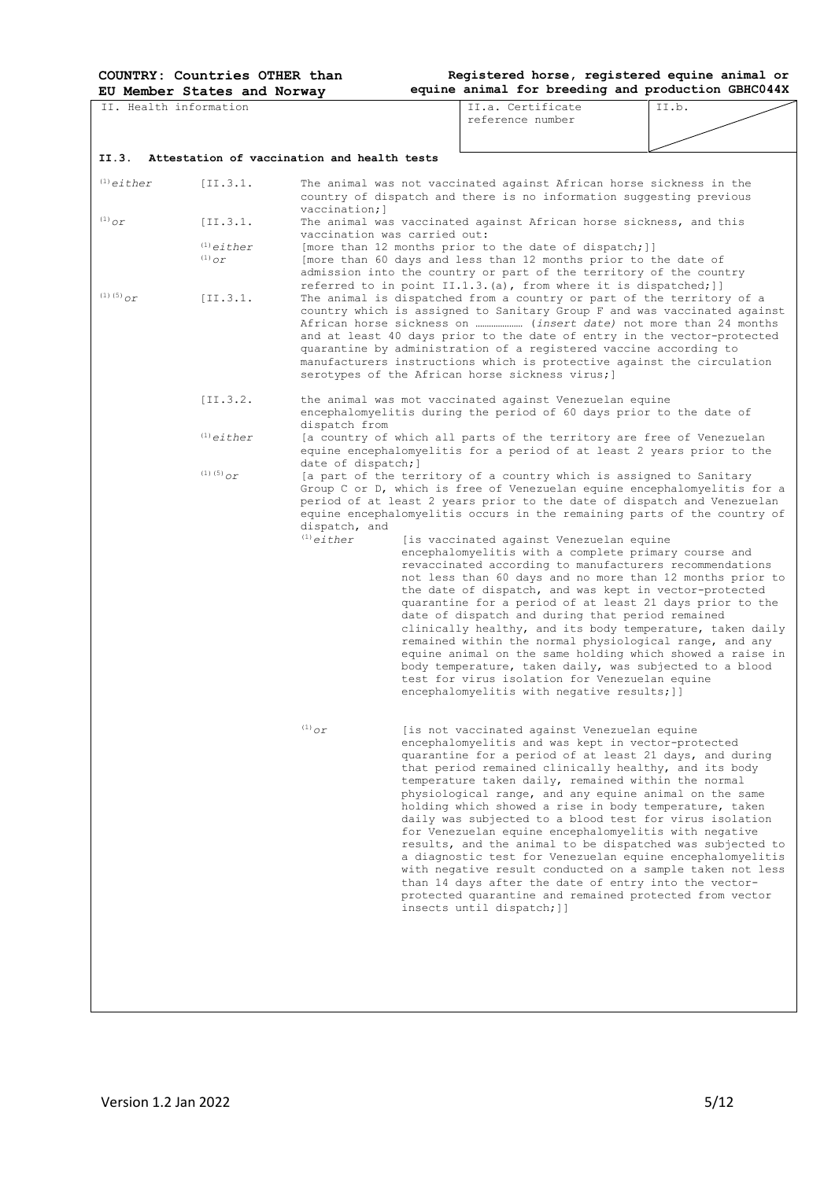|                                     | EU Member States and Norway                 |                              | equine animal for breeding and production GBHC044X                                                                                                                                                                                                                                                                                                                                                                                                                                                                                                                                                                                                                                                                                                                                                                                                             |       |
|-------------------------------------|---------------------------------------------|------------------------------|----------------------------------------------------------------------------------------------------------------------------------------------------------------------------------------------------------------------------------------------------------------------------------------------------------------------------------------------------------------------------------------------------------------------------------------------------------------------------------------------------------------------------------------------------------------------------------------------------------------------------------------------------------------------------------------------------------------------------------------------------------------------------------------------------------------------------------------------------------------|-------|
|                                     | II. Health information                      |                              | TT.a. Certificate<br>reference number                                                                                                                                                                                                                                                                                                                                                                                                                                                                                                                                                                                                                                                                                                                                                                                                                          | II.b. |
|                                     |                                             |                              |                                                                                                                                                                                                                                                                                                                                                                                                                                                                                                                                                                                                                                                                                                                                                                                                                                                                |       |
| II.3.                               | Attestation of vaccination and health tests |                              |                                                                                                                                                                                                                                                                                                                                                                                                                                                                                                                                                                                                                                                                                                                                                                                                                                                                |       |
| $(1)$ either                        | [II.3.1.]                                   | vaccination; 1               | The animal was not vaccinated against African horse sickness in the<br>country of dispatch and there is no information suggesting previous                                                                                                                                                                                                                                                                                                                                                                                                                                                                                                                                                                                                                                                                                                                     |       |
| $^{(1)}$ or                         | [II.3.1.]                                   | vaccination was carried out: | The animal was vaccinated against African horse sickness, and this                                                                                                                                                                                                                                                                                                                                                                                                                                                                                                                                                                                                                                                                                                                                                                                             |       |
|                                     | $(1)$ either<br>$^{(1)}$ or                 |                              | [more than 12 months prior to the date of dispatch;]]<br>[more than 60 days and less than 12 months prior to the date of<br>admission into the country or part of the territory of the country                                                                                                                                                                                                                                                                                                                                                                                                                                                                                                                                                                                                                                                                 |       |
| (1) (5) $_{\mathcal{O}\mathcal{L}}$ | [II.3.1.]                                   |                              | referred to in point II.1.3.(a), from where it is dispatched; ]]<br>The animal is dispatched from a country or part of the territory of a<br>country which is assigned to Sanitary Group F and was vaccinated against<br>and at least 40 days prior to the date of entry in the vector-protected<br>quarantine by administration of a registered vaccine according to<br>manufacturers instructions which is protective against the circulation<br>serotypes of the African horse sickness virus; ]                                                                                                                                                                                                                                                                                                                                                            |       |
|                                     | $[II.3.2.]$                                 | dispatch from                | the animal was mot vaccinated against Venezuelan equine<br>encephalomyelitis during the period of 60 days prior to the date of                                                                                                                                                                                                                                                                                                                                                                                                                                                                                                                                                                                                                                                                                                                                 |       |
|                                     | $^{(1)}$ either                             | date of dispatch; ]          | [a country of which all parts of the territory are free of Venezuelan<br>equine encephalomyelitis for a period of at least 2 years prior to the                                                                                                                                                                                                                                                                                                                                                                                                                                                                                                                                                                                                                                                                                                                |       |
|                                     | $(1)$ (5) $_{OT}$                           | dispatch, and                | [a part of the territory of a country which is assigned to Sanitary<br>Group C or D, which is free of Venezuelan equine encephalomyelitis for a<br>period of at least 2 years prior to the date of dispatch and Venezuelan<br>equine encephalomyelitis occurs in the remaining parts of the country of                                                                                                                                                                                                                                                                                                                                                                                                                                                                                                                                                         |       |
|                                     |                                             | $^{(1)}$ either              | [is vaccinated against Venezuelan equine<br>encephalomyelitis with a complete primary course and<br>revaccinated according to manufacturers recommendations<br>not less than 60 days and no more than 12 months prior to<br>the date of dispatch, and was kept in vector-protected<br>quarantine for a period of at least 21 days prior to the<br>date of dispatch and during that period remained<br>clinically healthy, and its body temperature, taken daily<br>remained within the normal physiological range, and any<br>equine animal on the same holding which showed a raise in<br>body temperature, taken daily, was subjected to a blood<br>test for virus isolation for Venezuelan equine<br>encephalomyelitis with negative results; ]]                                                                                                            |       |
|                                     |                                             | $^{(1)}$ Or                  | [is not vaccinated against Venezuelan equine<br>encephalomyelitis and was kept in vector-protected<br>quarantine for a period of at least 21 days, and during<br>that period remained clinically healthy, and its body<br>temperature taken daily, remained within the normal<br>physiological range, and any equine animal on the same<br>holding which showed a rise in body temperature, taken<br>daily was subjected to a blood test for virus isolation<br>for Venezuelan equine encephalomyelitis with negative<br>results, and the animal to be dispatched was subjected to<br>a diagnostic test for Venezuelan equine encephalomyelitis<br>with negative result conducted on a sample taken not less<br>than 14 days after the date of entry into the vector-<br>protected quarantine and remained protected from vector<br>insects until dispatch; ]] |       |
|                                     |                                             |                              |                                                                                                                                                                                                                                                                                                                                                                                                                                                                                                                                                                                                                                                                                                                                                                                                                                                                |       |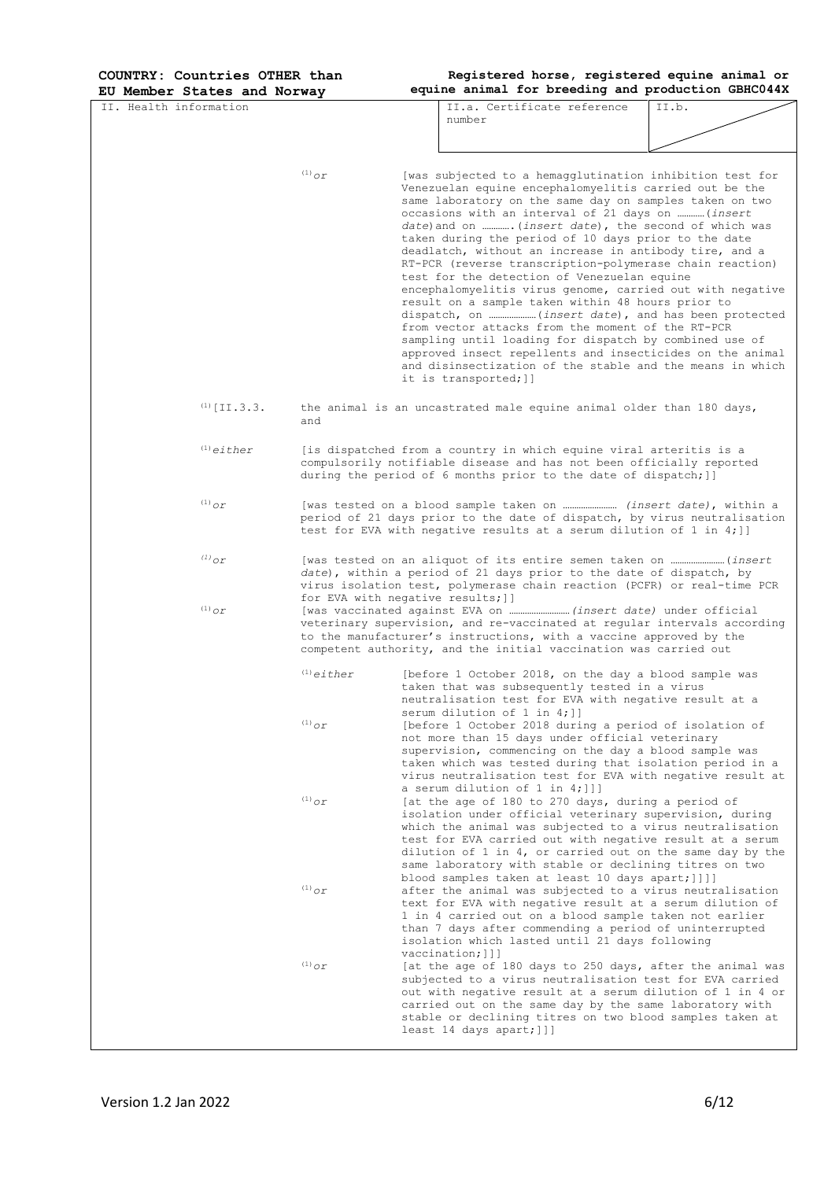**Registered horse, registered equine animal or** 

**EU Member States and Norway equine animal for breeding and production GBHC044X** II. Health information II.a. Certificate reference number II.b. (1)*or* [was subjected to a hemagglutination inhibition test for Venezuelan equine encephalomyelitis carried out be the same laboratory on the same day on samples taken on two occasions with an interval of 21 days on …………(*insert date*)and on ………….(*insert date*), the second of which was taken during the period of 10 days prior to the date deadlatch, without an increase in antibody tire, and a RT-PCR (reverse transcription-polymerase chain reaction) test for the detection of Venezuelan equine encephalomyelitis virus genome, carried out with negative result on a sample taken within 48 hours prior to dispatch, on …………………(*insert date*), and has been protected from vector attacks from the moment of the RT-PCR sampling until loading for dispatch by combined use of approved insect repellents and insecticides on the animal and disinsectization of the stable and the means in which it is transported;]]  $<sup>(1)</sup>$  [II.3.3. the animal is an uncastrated male equine animal older than 180 days,</sup> and (1)*either* [is dispatched from a country in which equine viral arteritis is a compulsorily notifiable disease and has not been officially reported during the period of 6 months prior to the date of dispatch; ]] (1)*or* [was tested on a blood sample taken on …………………… *(insert date)*, within a period of 21 days prior to the date of dispatch, by virus neutralisation test for EVA with negative results at a serum dilution of 1 in 4;]] *(1)or* [was tested on an aliquot of its entire semen taken on ……………………(*insert*  date), within a period of 21 days prior to the date of dispatch, by virus isolation test, polymerase chain reaction (PCFR) or real-time PCR for EVA with negative results;]] (1)*or* [was vaccinated against EVA on ………………………*(insert date)* under official veterinary supervision, and re-vaccinated at regular intervals according to the manufacturer's instructions, with a vaccine approved by the competent authority, and the initial vaccination was carried out (1)*either* [before 1 October 2018, on the day a blood sample was taken that was subsequently tested in a virus neutralisation test for EVA with negative result at a serum dilution of 1 in 4; ]] (1)*or* [before 1 October 2018 during a period of isolation of not more than 15 days under official veterinary supervision, commencing on the day a blood sample was taken which was tested during that isolation period in a virus neutralisation test for EVA with negative result at a serum dilution of 1 in 4;]]] (1)*or* [at the age of 180 to 270 days, during a period of isolation under official veterinary supervision, during which the animal was subjected to a virus neutralisation test for EVA carried out with negative result at a serum dilution of 1 in 4, or carried out on the same day by the same laboratory with stable or declining titres on two blood samples taken at least 10 days apart;]]]] (1)*or* after the animal was subjected to a virus neutralisation text for EVA with negative result at a serum dilution of 1 in 4 carried out on a blood sample taken not earlier than 7 days after commending a period of uninterrupted isolation which lasted until 21 days following vaccination;]]] (1)*or* [at the age of 180 days to 250 days, after the animal was subjected to a virus neutralisation test for EVA carried out with negative result at a serum dilution of 1 in 4 or carried out on the same day by the same laboratory with stable or declining titres on two blood samples taken at least 14 days apart;]]]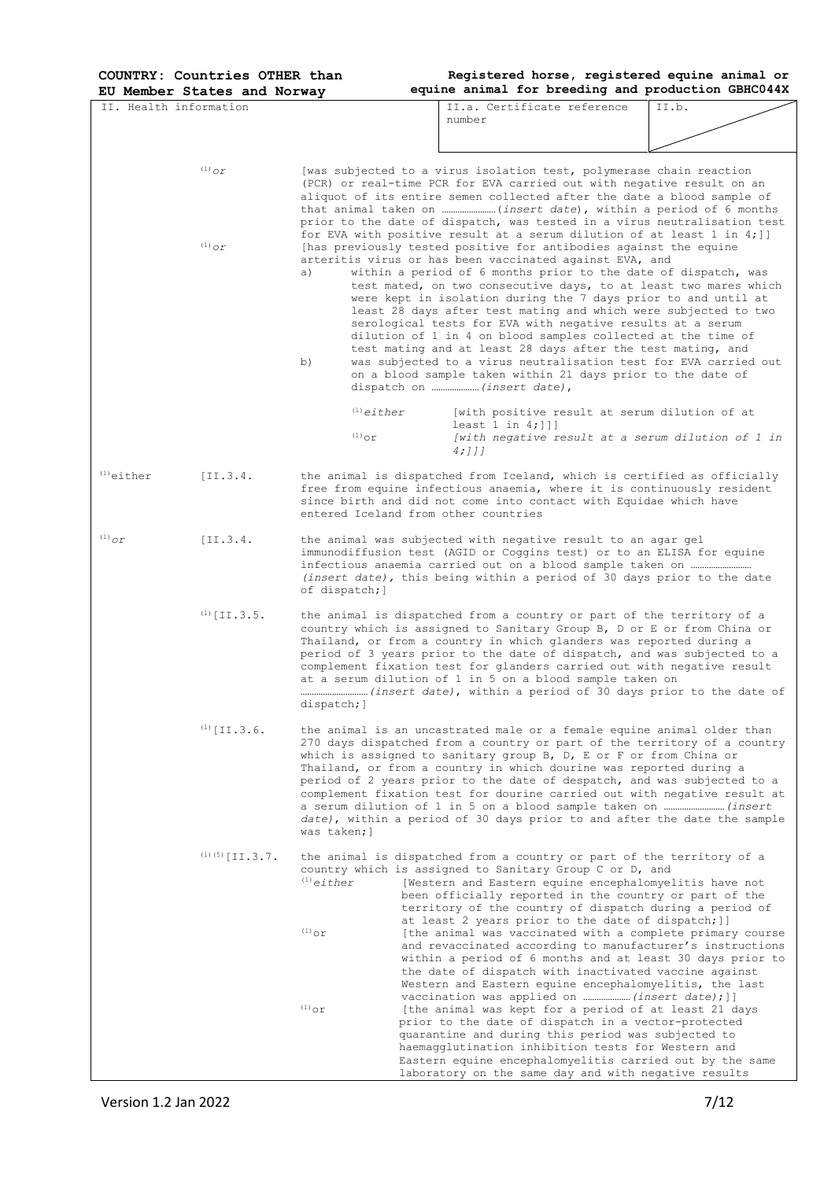| II. Health information |                                |                                | II.a. Certificate reference<br>II.b.                                                                                                                                                                                                                                                                                                                                                                                                                                                                                                                                                                                                                                                                                                    |  |  |  |  |
|------------------------|--------------------------------|--------------------------------|-----------------------------------------------------------------------------------------------------------------------------------------------------------------------------------------------------------------------------------------------------------------------------------------------------------------------------------------------------------------------------------------------------------------------------------------------------------------------------------------------------------------------------------------------------------------------------------------------------------------------------------------------------------------------------------------------------------------------------------------|--|--|--|--|
|                        |                                |                                | number                                                                                                                                                                                                                                                                                                                                                                                                                                                                                                                                                                                                                                                                                                                                  |  |  |  |  |
|                        |                                |                                |                                                                                                                                                                                                                                                                                                                                                                                                                                                                                                                                                                                                                                                                                                                                         |  |  |  |  |
|                        | $(1)$ or                       |                                | [was subjected to a virus isolation test, polymerase chain reaction<br>(PCR) or real-time PCR for EVA carried out with negative result on an<br>aliquot of its entire semen collected after the date a blood sample of<br>prior to the date of dispatch, was tested in a virus neutralisation test<br>for EVA with positive result at a serum dilution of at least 1 in 4; ]]                                                                                                                                                                                                                                                                                                                                                           |  |  |  |  |
|                        | $^{(1)}$ or                    | a)<br>b)                       | [has previously tested positive for antibodies against the equine<br>arteritis virus or has been vaccinated against EVA, and<br>within a period of 6 months prior to the date of dispatch, was<br>test mated, on two consecutive days, to at least two mares which<br>were kept in isolation during the 7 days prior to and until at<br>least 28 days after test mating and which were subjected to two<br>serological tests for EVA with negative results at a serum<br>dilution of 1 in 4 on blood samples collected at the time of<br>test mating and at least 28 days after the test mating, and<br>was subjected to a virus neutralisation test for EVA carried out<br>on a blood sample taken within 21 days prior to the date of |  |  |  |  |
|                        |                                | $(1)$ either<br>$^{(1)}$ or    | [with positive result at serum dilution of at<br>least $1$ in $4;$ ]]]<br>[with negative result at a serum dilution of 1 in<br>4;]]]                                                                                                                                                                                                                                                                                                                                                                                                                                                                                                                                                                                                    |  |  |  |  |
| $(1)$ either           | [II.3.4.                       |                                | the animal is dispatched from Iceland, which is certified as officially<br>free from equine infectious anaemia, where it is continuously resident<br>since birth and did not come into contact with Equidae which have<br>entered Iceland from other countries                                                                                                                                                                                                                                                                                                                                                                                                                                                                          |  |  |  |  |
| $^{(1)}$ O $\Gamma$    | [II.3.4.]                      | of dispatch; ]                 | the animal was subjected with negative result to an agar gel<br>immunodiffusion test (AGID or Coggins test) or to an ELISA for equine<br>(insert date), this being within a period of 30 days prior to the date                                                                                                                                                                                                                                                                                                                                                                                                                                                                                                                         |  |  |  |  |
|                        | $(1)$ [II.3.5.                 | dispatch; ]                    | the animal is dispatched from a country or part of the territory of a<br>country which is assigned to Sanitary Group B, D or E or from China or<br>Thailand, or from a country in which glanders was reported during a<br>period of 3 years prior to the date of dispatch, and was subjected to a<br>complement fixation test for glanders carried out with negative result<br>at a serum dilution of 1 in 5 on a blood sample taken on<br>(insert date), within a period of 30 days prior to the date of                                                                                                                                                                                                                               |  |  |  |  |
|                        | $^{\left( 1\right) }$ [II.3.6. | was taken; 1                   | the animal is an uncastrated male or a female equine animal older than<br>270 days dispatched from a country or part of the territory of a country<br>which is assigned to sanitary group B, D, E or F or from China or<br>Thailand, or from a country in which dourine was reported during a<br>period of 2 years prior to the date of despatch, and was subjected to a<br>complement fixation test for dourine carried out with negative result at<br>date), within a period of 30 days prior to and after the date the sample                                                                                                                                                                                                        |  |  |  |  |
|                        | $(1)$ (5) [II.3.7.             | $^{(1)}$ either                | the animal is dispatched from a country or part of the territory of a<br>country which is assigned to Sanitary Group C or D, and<br>[Western and Eastern equine encephalomyelitis have not<br>been officially reported in the country or part of the<br>territory of the country of dispatch during a period of<br>at least 2 years prior to the date of dispatch; ]]                                                                                                                                                                                                                                                                                                                                                                   |  |  |  |  |
|                        |                                | $(1)$ or                       | [the animal was vaccinated with a complete primary course<br>and revaccinated according to manufacturer's instructions<br>within a period of 6 months and at least 30 days prior to<br>the date of dispatch with inactivated vaccine against<br>Western and Eastern equine encephalomyelitis, the last                                                                                                                                                                                                                                                                                                                                                                                                                                  |  |  |  |  |
|                        |                                | $\prescript{(1)}{}{\text{or}}$ | [the animal was kept for a period of at least 21 days<br>prior to the date of dispatch in a vector-protected<br>quarantine and during this period was subjected to<br>haemagglutination inhibition tests for Western and<br>Eastern equine encephalomyelitis carried out by the same<br>laboratory on the same day and with negative results                                                                                                                                                                                                                                                                                                                                                                                            |  |  |  |  |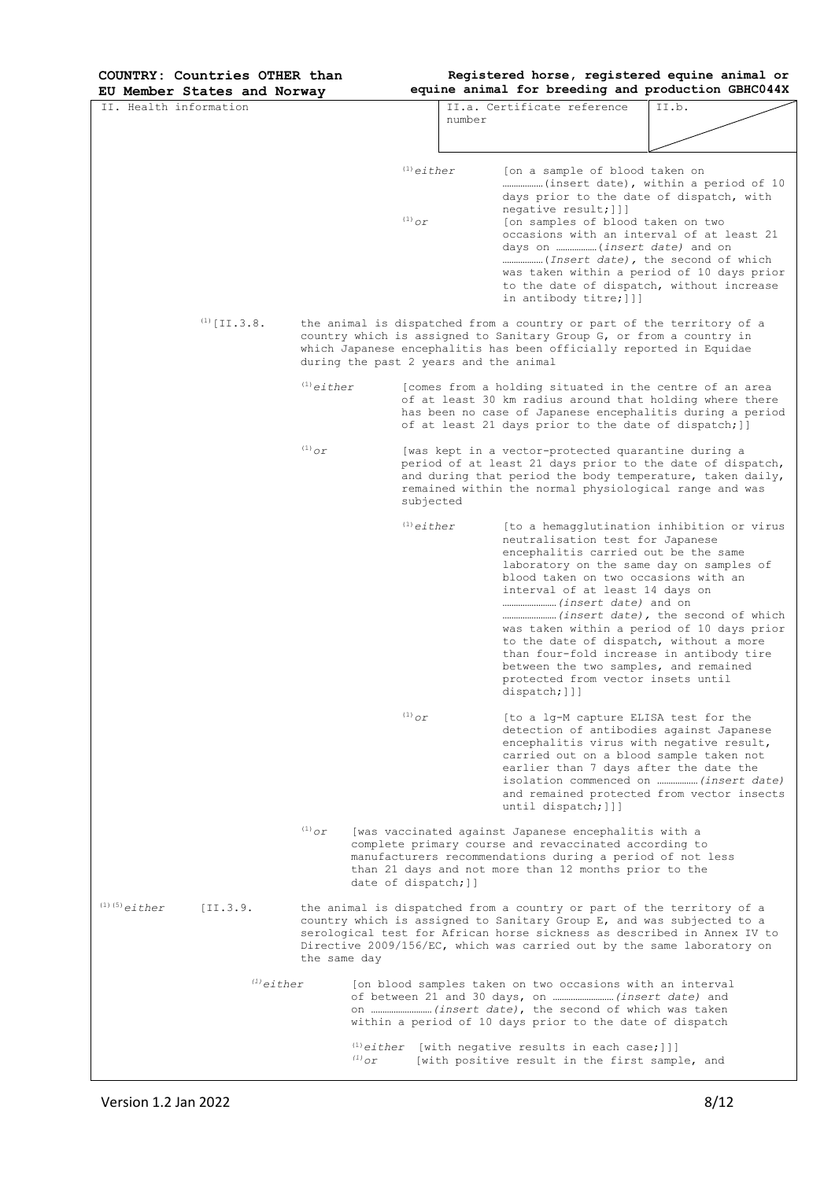| EU Member States and Norway    |                 |                                        | equine animal for breeding and production GBHC044X                                                                                                                                                                                                                                                                                                                                      |                                                                                          |
|--------------------------------|-----------------|----------------------------------------|-----------------------------------------------------------------------------------------------------------------------------------------------------------------------------------------------------------------------------------------------------------------------------------------------------------------------------------------------------------------------------------------|------------------------------------------------------------------------------------------|
| TT, Health information         |                 | number                                 | II.a. Certificate reference                                                                                                                                                                                                                                                                                                                                                             | II.b.                                                                                    |
|                                |                 |                                        |                                                                                                                                                                                                                                                                                                                                                                                         |                                                                                          |
|                                |                 |                                        |                                                                                                                                                                                                                                                                                                                                                                                         |                                                                                          |
|                                |                 | $(1)$ either<br>$^{(1)}$ or            | [on a sample of blood taken on<br>days prior to the date of dispatch, with<br>negative result; []]<br>[on samples of blood taken on two<br>occasions with an interval of at least 21<br>days on  (insert date) and on<br>( <i>Insert date</i> ), the second of which<br>to the date of dispatch, without increase<br>in antibody titre; []]                                             | (insert date), within a period of 10<br>was taken within a period of 10 days prior       |
| $(1)$ [II.3.8.                 |                 | during the past 2 years and the animal | the animal is dispatched from a country or part of the territory of a<br>country which is assigned to Sanitary Group G, or from a country in<br>which Japanese encephalitis has been officially reported in Equidae                                                                                                                                                                     |                                                                                          |
|                                | $^{(1)}$ either |                                        | [comes from a holding situated in the centre of an area<br>of at least 30 km radius around that holding where there<br>has been no case of Japanese encephalitis during a period<br>of at least 21 days prior to the date of dispatch; ]]                                                                                                                                               |                                                                                          |
|                                | $^{(1)}$ or     | subjected                              | [was kept in a vector-protected quarantine during a<br>period of at least 21 days prior to the date of dispatch,<br>and during that period the body temperature, taken daily,<br>remained within the normal physiological range and was                                                                                                                                                 |                                                                                          |
|                                |                 | $(1)$ either                           | neutralisation test for Japanese<br>encephalitis carried out be the same<br>laboratory on the same day on samples of<br>blood taken on two occasions with an<br>interval of at least 14 days on<br>to the date of dispatch, without a more<br>than four-fold increase in antibody tire<br>between the two samples, and remained<br>protected from vector insets until<br>dispatch; $]]$ | [to a hemagglutination inhibition or virus<br>was taken within a period of 10 days prior |
|                                |                 | $^{(1)}$ or                            | [to a lg-M capture ELISA test for the<br>detection of antibodies against Japanese<br>encephalitis virus with negative result,<br>carried out on a blood sample taken not<br>earlier than 7 days after the date the<br>until dispatch; []]                                                                                                                                               | isolation commenced on  (insert date)<br>and remained protected from vector insects      |
|                                | $^{(1)}$ or     | date of dispatch; ]]                   | [was vaccinated against Japanese encephalitis with a<br>complete primary course and revaccinated according to<br>manufacturers recommendations during a period of not less<br>than 21 days and not more than 12 months prior to the                                                                                                                                                     |                                                                                          |
| $(1)$ $(5)$ either<br>[II.3.9. | the same day    |                                        | the animal is dispatched from a country or part of the territory of a<br>country which is assigned to Sanitary Group E, and was subjected to a<br>serological test for African horse sickness as described in Annex IV to<br>Directive 2009/156/EC, which was carried out by the same laboratory on                                                                                     |                                                                                          |
| $(1)$ either                   |                 |                                        | [on blood samples taken on two occasions with an interval<br>within a period of 10 days prior to the date of dispatch                                                                                                                                                                                                                                                                   |                                                                                          |
|                                | $^{(1)}$ or     |                                        | $(1)$ either [with negative results in each case;]]]<br>[with positive result in the first sample, and                                                                                                                                                                                                                                                                                  |                                                                                          |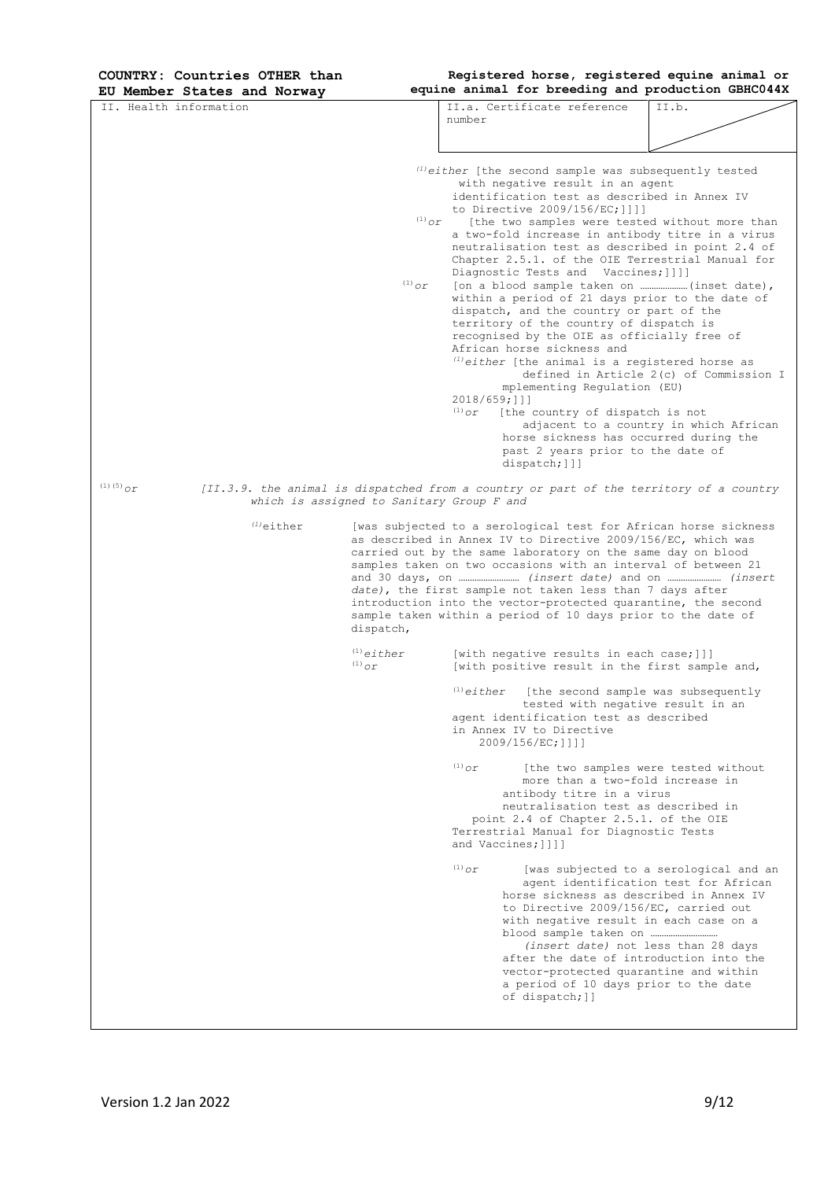**Registered horse, registered equine animal or** 

| EU Member States and Norway                                                                                 |                                                                                                                                                                                                                                                                                                                                                                                                                                                                           |                                |                                                                                                                                                                                                                                | equine animal for breeding and production GBHC044X                                                                                                                                                                                                                                                                                                                                                                                                                                                                                                                                                                                                                                                                                            |  |
|-------------------------------------------------------------------------------------------------------------|---------------------------------------------------------------------------------------------------------------------------------------------------------------------------------------------------------------------------------------------------------------------------------------------------------------------------------------------------------------------------------------------------------------------------------------------------------------------------|--------------------------------|--------------------------------------------------------------------------------------------------------------------------------------------------------------------------------------------------------------------------------|-----------------------------------------------------------------------------------------------------------------------------------------------------------------------------------------------------------------------------------------------------------------------------------------------------------------------------------------------------------------------------------------------------------------------------------------------------------------------------------------------------------------------------------------------------------------------------------------------------------------------------------------------------------------------------------------------------------------------------------------------|--|
| II. Health information                                                                                      |                                                                                                                                                                                                                                                                                                                                                                                                                                                                           | number                         | II.a. Certificate reference                                                                                                                                                                                                    | II.b.                                                                                                                                                                                                                                                                                                                                                                                                                                                                                                                                                                                                                                                                                                                                         |  |
|                                                                                                             | $^{(1)}$ or<br>$\ ^{\left( 1\right) }\mathcal{O}r$                                                                                                                                                                                                                                                                                                                                                                                                                        | $2018/659;$ ]]]<br>$^{(1)}$ Or | with negative result in an agent<br>to Directive 2009/156/EC; ] ] ] ]<br>Diagnostic Tests and Vaccines; [] ]]<br>African horse sickness and<br>mplementing Regulation (EU)<br>[the country of dispatch is not<br>dispatch; []] | $\mu^{(1)}$ either [the second sample was subsequently tested<br>identification test as described in Annex IV<br>[the two samples were tested without more than<br>a two-fold increase in antibody titre in a virus<br>neutralisation test as described in point 2.4 of<br>Chapter 2.5.1. of the OIE Terrestrial Manual for<br>within a period of 21 days prior to the date of<br>dispatch, and the country or part of the<br>territory of the country of dispatch is<br>recognised by the OIE as officially free of<br>$(1) either$ [the animal is a registered horse as<br>defined in Article 2(c) of Commission I<br>adjacent to a country in which African<br>horse sickness has occurred during the<br>past 2 years prior to the date of |  |
| $(1)$ (5) $_{OL}$<br>[II.3.9. the animal is dispatched from a country or part of the territory of a country | which is assigned to Sanitary Group F and                                                                                                                                                                                                                                                                                                                                                                                                                                 |                                |                                                                                                                                                                                                                                |                                                                                                                                                                                                                                                                                                                                                                                                                                                                                                                                                                                                                                                                                                                                               |  |
| $(1)$ either                                                                                                | [was subjected to a serological test for African horse sickness<br>as described in Annex IV to Directive 2009/156/EC, which was<br>carried out by the same laboratory on the same day on blood<br>samples taken on two occasions with an interval of between 21<br>date), the first sample not taken less than 7 days after<br>introduction into the vector-protected quarantine, the second<br>sample taken within a period of 10 days prior to the date of<br>dispatch, |                                |                                                                                                                                                                                                                                |                                                                                                                                                                                                                                                                                                                                                                                                                                                                                                                                                                                                                                                                                                                                               |  |
|                                                                                                             | $(1)$ either<br>$(1)$ or                                                                                                                                                                                                                                                                                                                                                                                                                                                  |                                |                                                                                                                                                                                                                                | [with negative results in each case;]]]<br>[with positive result in the first sample and,                                                                                                                                                                                                                                                                                                                                                                                                                                                                                                                                                                                                                                                     |  |
|                                                                                                             |                                                                                                                                                                                                                                                                                                                                                                                                                                                                           | $(1)$ either                   | agent identification test as described<br>in Annex IV to Directive<br>2009/156/EC; ] ] ] ]                                                                                                                                     | [the second sample was subsequently<br>tested with negative result in an                                                                                                                                                                                                                                                                                                                                                                                                                                                                                                                                                                                                                                                                      |  |
|                                                                                                             |                                                                                                                                                                                                                                                                                                                                                                                                                                                                           | $(1)$ $\sigma r$               | antibody titre in a virus<br>and Vaccines; [] ] ]                                                                                                                                                                              | [the two samples were tested without<br>more than a two-fold increase in<br>neutralisation test as described in<br>point 2.4 of Chapter 2.5.1. of the OIE<br>Terrestrial Manual for Diagnostic Tests                                                                                                                                                                                                                                                                                                                                                                                                                                                                                                                                          |  |
|                                                                                                             |                                                                                                                                                                                                                                                                                                                                                                                                                                                                           | $(1)$ or                       | of dispatch; ]]                                                                                                                                                                                                                | [was subjected to a serological and an<br>agent identification test for African<br>horse sickness as described in Annex IV<br>to Directive 2009/156/EC, carried out<br>with negative result in each case on a<br>(insert date) not less than 28 days<br>after the date of introduction into the<br>vector-protected quarantine and within<br>a period of 10 days prior to the date                                                                                                                                                                                                                                                                                                                                                            |  |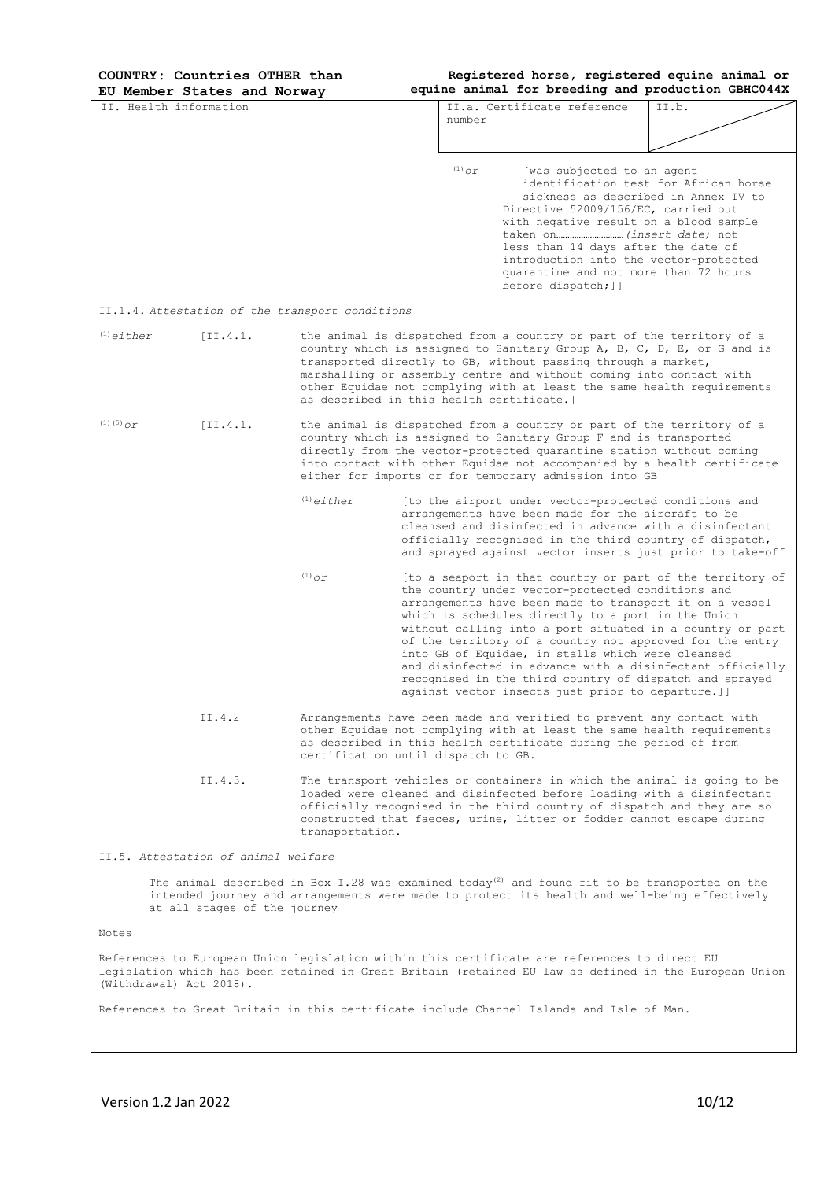**Registered horse, registered equine animal or** 

|                                     | EU Member States and Norway                                                                                                                                                                                                                                                                                                        |                                                                                                                                                                                                                                                                                                                                                       |                                            |                                                                                                                                                                                                                                                              | equine animal for breeding and production GBHC044X                                                                                                                                                                                                                                                                                                                    |  |  |
|-------------------------------------|------------------------------------------------------------------------------------------------------------------------------------------------------------------------------------------------------------------------------------------------------------------------------------------------------------------------------------|-------------------------------------------------------------------------------------------------------------------------------------------------------------------------------------------------------------------------------------------------------------------------------------------------------------------------------------------------------|--------------------------------------------|--------------------------------------------------------------------------------------------------------------------------------------------------------------------------------------------------------------------------------------------------------------|-----------------------------------------------------------------------------------------------------------------------------------------------------------------------------------------------------------------------------------------------------------------------------------------------------------------------------------------------------------------------|--|--|
| IT, Health information              |                                                                                                                                                                                                                                                                                                                                    |                                                                                                                                                                                                                                                                                                                                                       | number                                     | II.a. Certificate reference                                                                                                                                                                                                                                  | TT.b.                                                                                                                                                                                                                                                                                                                                                                 |  |  |
|                                     |                                                                                                                                                                                                                                                                                                                                    |                                                                                                                                                                                                                                                                                                                                                       |                                            |                                                                                                                                                                                                                                                              |                                                                                                                                                                                                                                                                                                                                                                       |  |  |
|                                     |                                                                                                                                                                                                                                                                                                                                    |                                                                                                                                                                                                                                                                                                                                                       | $(1)$ $\sigma r$                           | [was subjected to an agent<br>Directive 52009/156/EC, carried out<br>with negative result on a blood sample<br>less than 14 days after the date of<br>introduction into the vector-protected<br>quarantine and not more than 72 hours<br>before dispatch; ]] | identification test for African horse<br>sickness as described in Annex IV to                                                                                                                                                                                                                                                                                         |  |  |
|                                     |                                                                                                                                                                                                                                                                                                                                    | II.1.4. Attestation of the transport conditions                                                                                                                                                                                                                                                                                                       |                                            |                                                                                                                                                                                                                                                              |                                                                                                                                                                                                                                                                                                                                                                       |  |  |
| $(1)$ either                        | [II.4.1]                                                                                                                                                                                                                                                                                                                           |                                                                                                                                                                                                                                                                                                                                                       | as described in this health certificate. 1 | the animal is dispatched from a country or part of the territory of a<br>transported directly to GB, without passing through a market,<br>marshalling or assembly centre and without coming into contact with                                                | country which is assigned to Sanitary Group A, B, C, D, E, or G and is<br>other Equidae not complying with at least the same health requirements                                                                                                                                                                                                                      |  |  |
| (1) (5) $_{\mathcal{O}\mathcal{L}}$ | [I1.4.1]                                                                                                                                                                                                                                                                                                                           | the animal is dispatched from a country or part of the territory of a<br>country which is assigned to Sanitary Group F and is transported<br>directly from the vector-protected quarantine station without coming<br>into contact with other Equidae not accompanied by a health certificate<br>either for imports or for temporary admission into GB |                                            |                                                                                                                                                                                                                                                              |                                                                                                                                                                                                                                                                                                                                                                       |  |  |
|                                     |                                                                                                                                                                                                                                                                                                                                    | $(1)$ either                                                                                                                                                                                                                                                                                                                                          |                                            | [to the airport under vector-protected conditions and<br>arrangements have been made for the aircraft to be                                                                                                                                                  | cleansed and disinfected in advance with a disinfectant<br>officially recognised in the third country of dispatch,<br>and sprayed against vector inserts just prior to take-off                                                                                                                                                                                       |  |  |
|                                     |                                                                                                                                                                                                                                                                                                                                    | $\ ^{\left( 1\right) }\mathcal{O}r$                                                                                                                                                                                                                                                                                                                   |                                            | the country under vector-protected conditions and<br>which is schedules directly to a port in the Union<br>into GB of Equidae, in stalls which were cleansed<br>against vector insects just prior to departure.]]                                            | [to a seaport in that country or part of the territory of<br>arrangements have been made to transport it on a vessel<br>without calling into a port situated in a country or part<br>of the territory of a country not approved for the entry<br>and disinfected in advance with a disinfectant officially<br>recognised in the third country of dispatch and sprayed |  |  |
|                                     | II.4.2                                                                                                                                                                                                                                                                                                                             |                                                                                                                                                                                                                                                                                                                                                       | certification until dispatch to GB.        | Arrangements have been made and verified to prevent any contact with<br>as described in this health certificate during the period of from                                                                                                                    | other Equidae not complying with at least the same health requirements                                                                                                                                                                                                                                                                                                |  |  |
|                                     | II.4.3.<br>The transport vehicles or containers in which the animal is going to be<br>loaded were cleaned and disinfected before loading with a disinfectant<br>officially recognised in the third country of dispatch and they are so<br>constructed that faeces, urine, litter or fodder cannot escape during<br>transportation. |                                                                                                                                                                                                                                                                                                                                                       |                                            |                                                                                                                                                                                                                                                              |                                                                                                                                                                                                                                                                                                                                                                       |  |  |
|                                     | II.5, Attestation of animal welfare                                                                                                                                                                                                                                                                                                |                                                                                                                                                                                                                                                                                                                                                       |                                            |                                                                                                                                                                                                                                                              |                                                                                                                                                                                                                                                                                                                                                                       |  |  |
|                                     | The animal described in Box I.28 was examined today <sup>(2)</sup> and found fit to be transported on the<br>intended journey and arrangements were made to protect its health and well-being effectively<br>at all stages of the journey                                                                                          |                                                                                                                                                                                                                                                                                                                                                       |                                            |                                                                                                                                                                                                                                                              |                                                                                                                                                                                                                                                                                                                                                                       |  |  |
| Notes                               |                                                                                                                                                                                                                                                                                                                                    |                                                                                                                                                                                                                                                                                                                                                       |                                            |                                                                                                                                                                                                                                                              |                                                                                                                                                                                                                                                                                                                                                                       |  |  |
| (Withdrawal) Act 2018).             |                                                                                                                                                                                                                                                                                                                                    |                                                                                                                                                                                                                                                                                                                                                       |                                            | References to European Union legislation within this certificate are references to direct EU                                                                                                                                                                 | legislation which has been retained in Great Britain (retained EU law as defined in the European Union                                                                                                                                                                                                                                                                |  |  |
|                                     |                                                                                                                                                                                                                                                                                                                                    |                                                                                                                                                                                                                                                                                                                                                       |                                            | References to Great Britain in this certificate include Channel Islands and Isle of Man.                                                                                                                                                                     |                                                                                                                                                                                                                                                                                                                                                                       |  |  |
|                                     |                                                                                                                                                                                                                                                                                                                                    |                                                                                                                                                                                                                                                                                                                                                       |                                            |                                                                                                                                                                                                                                                              |                                                                                                                                                                                                                                                                                                                                                                       |  |  |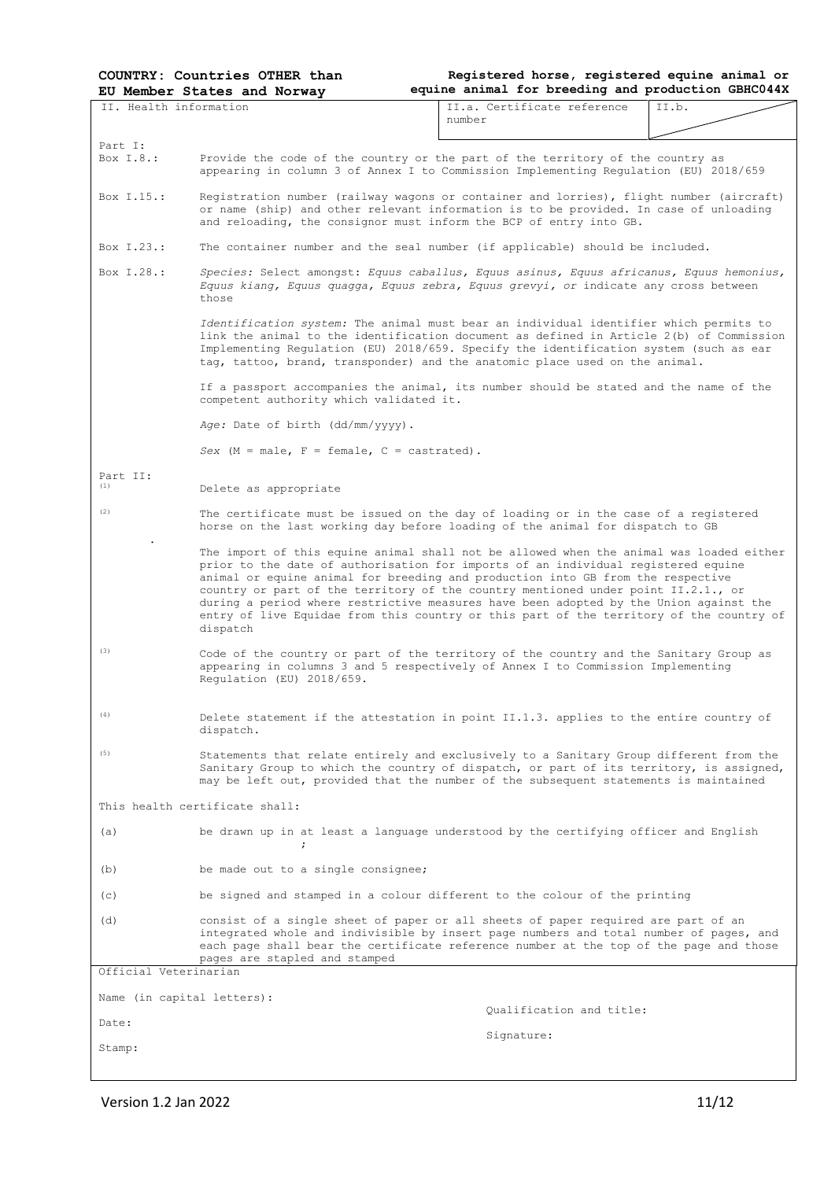**Registered horse, registered equine animal or equine animal for breeding and production GBHC044X**

| II. Health information     |                                                                                                                                                                                                                                                                                                                                                                                                                                                                                                                                                      | II.a. Certificate reference | II.b. |  |  |  |  |  |
|----------------------------|------------------------------------------------------------------------------------------------------------------------------------------------------------------------------------------------------------------------------------------------------------------------------------------------------------------------------------------------------------------------------------------------------------------------------------------------------------------------------------------------------------------------------------------------------|-----------------------------|-------|--|--|--|--|--|
|                            |                                                                                                                                                                                                                                                                                                                                                                                                                                                                                                                                                      | number                      |       |  |  |  |  |  |
| Part I:                    |                                                                                                                                                                                                                                                                                                                                                                                                                                                                                                                                                      |                             |       |  |  |  |  |  |
| Box I.8.:                  | Provide the code of the country or the part of the territory of the country as<br>appearing in column 3 of Annex I to Commission Implementing Regulation (EU) 2018/659                                                                                                                                                                                                                                                                                                                                                                               |                             |       |  |  |  |  |  |
| Box 1.15.:                 | Registration number (railway wagons or container and lorries), flight number (aircraft)<br>or name (ship) and other relevant information is to be provided. In case of unloading<br>and reloading, the consignor must inform the BCP of entry into GB.                                                                                                                                                                                                                                                                                               |                             |       |  |  |  |  |  |
| Box I.23.:                 | The container number and the seal number (if applicable) should be included.                                                                                                                                                                                                                                                                                                                                                                                                                                                                         |                             |       |  |  |  |  |  |
| Box T.28.:                 | Species: Select amongst: Equus caballus, Equus asinus, Equus africanus, Equus hemonius,<br>Equus kiang, Equus quagga, Equus zebra, Equus grevyi, or indicate any cross between<br>those                                                                                                                                                                                                                                                                                                                                                              |                             |       |  |  |  |  |  |
|                            | Identification system: The animal must bear an individual identifier which permits to<br>link the animal to the identification document as defined in Article 2(b) of Commission<br>Implementing Regulation (EU) 2018/659. Specify the identification system (such as ear<br>tag, tattoo, brand, transponder) and the anatomic place used on the animal.                                                                                                                                                                                             |                             |       |  |  |  |  |  |
|                            | If a passport accompanies the animal, its number should be stated and the name of the<br>competent authority which validated it.                                                                                                                                                                                                                                                                                                                                                                                                                     |                             |       |  |  |  |  |  |
|                            | Age: Date of birth (dd/mm/yyyy).                                                                                                                                                                                                                                                                                                                                                                                                                                                                                                                     |                             |       |  |  |  |  |  |
|                            | Sex $(M = male, F = female, C = castrated)$ .                                                                                                                                                                                                                                                                                                                                                                                                                                                                                                        |                             |       |  |  |  |  |  |
| Part II:<br>(1)            | Delete as appropriate                                                                                                                                                                                                                                                                                                                                                                                                                                                                                                                                |                             |       |  |  |  |  |  |
| (2)                        | The certificate must be issued on the day of loading or in the case of a registered<br>horse on the last working day before loading of the animal for dispatch to GB                                                                                                                                                                                                                                                                                                                                                                                 |                             |       |  |  |  |  |  |
|                            | The import of this equine animal shall not be allowed when the animal was loaded either<br>prior to the date of authorisation for imports of an individual registered equine<br>animal or equine animal for breeding and production into GB from the respective<br>country or part of the territory of the country mentioned under point II.2.1., or<br>during a period where restrictive measures have been adopted by the Union against the<br>entry of live Equidae from this country or this part of the territory of the country of<br>dispatch |                             |       |  |  |  |  |  |
| (3)                        | Code of the country or part of the territory of the country and the Sanitary Group as<br>appearing in columns 3 and 5 respectively of Annex I to Commission Implementing<br>Requlation (EU) 2018/659.                                                                                                                                                                                                                                                                                                                                                |                             |       |  |  |  |  |  |
| (4)                        | Delete statement if the attestation in point II.1.3. applies to the entire country of<br>dispatch.                                                                                                                                                                                                                                                                                                                                                                                                                                                   |                             |       |  |  |  |  |  |
| (5)                        | Statements that relate entirely and exclusively to a Sanitary Group different from the<br>Sanitary Group to which the country of dispatch, or part of its territory, is assigned,<br>may be left out, provided that the number of the subsequent statements is maintained                                                                                                                                                                                                                                                                            |                             |       |  |  |  |  |  |
|                            | This health certificate shall:                                                                                                                                                                                                                                                                                                                                                                                                                                                                                                                       |                             |       |  |  |  |  |  |
| (a)                        | be drawn up in at least a language understood by the certifying officer and English<br>$\ddot{ }$                                                                                                                                                                                                                                                                                                                                                                                                                                                    |                             |       |  |  |  |  |  |
| (b)                        | be made out to a single consignee;                                                                                                                                                                                                                                                                                                                                                                                                                                                                                                                   |                             |       |  |  |  |  |  |
| (c)                        | be signed and stamped in a colour different to the colour of the printing                                                                                                                                                                                                                                                                                                                                                                                                                                                                            |                             |       |  |  |  |  |  |
| (d)                        | consist of a single sheet of paper or all sheets of paper required are part of an<br>integrated whole and indivisible by insert page numbers and total number of pages, and<br>each page shall bear the certificate reference number at the top of the page and those<br>pages are stapled and stamped                                                                                                                                                                                                                                               |                             |       |  |  |  |  |  |
| Official Veterinarian      |                                                                                                                                                                                                                                                                                                                                                                                                                                                                                                                                                      |                             |       |  |  |  |  |  |
| Name (in capital letters): |                                                                                                                                                                                                                                                                                                                                                                                                                                                                                                                                                      | Oualification and title:    |       |  |  |  |  |  |
| Date:                      |                                                                                                                                                                                                                                                                                                                                                                                                                                                                                                                                                      | Signature:                  |       |  |  |  |  |  |
| Stamp:                     |                                                                                                                                                                                                                                                                                                                                                                                                                                                                                                                                                      |                             |       |  |  |  |  |  |

Version 1.2 Jan 2022 11/12